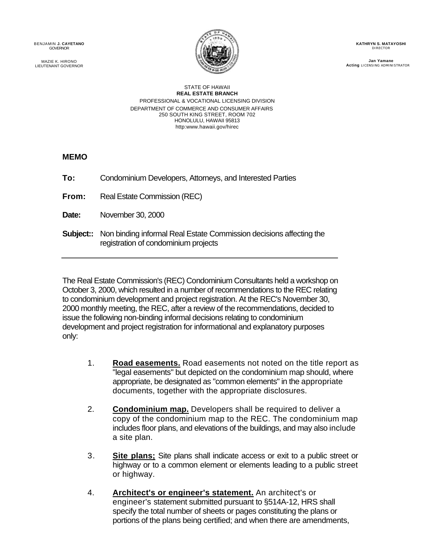BENJAMIN **J. CAYETANO SOURNOR BENJAMIN J. CAYETANO KATHRYN S. MATAYOSHI ATHRYN S. MATAYOSHI ATHRYN S. MATAYOSHI** 



MAZIE K. HIRONO **Jan Yamane Jan Yamane Jan Yamane Jan Yamane Jan Yamane Jan Yamane** LIEUTENANT GOVERNOR **Acting** LICENSING ADMINISTRATOR

> STATE OF HAWAII **REAL ESTATE BRANCH**  PROFESSIONAL & VOCATIONAL LICENSING DIVISION DEPARTMENT OF COMMERCE AND CONSUMER AFFAIRS 250 SOUTH KING STREET, ROOM 702 HONOLULU, HAWAII 95813 http:www.hawaii.gov/hirec

**MEMO** 

| To:   | Condominium Developers, Attorneys, and Interested Parties                                                                    |
|-------|------------------------------------------------------------------------------------------------------------------------------|
| From: | Real Estate Commission (REC)                                                                                                 |
| Date: | November 30, 2000                                                                                                            |
|       | <b>Subject::</b> Non binding informal Real Estate Commission decisions affecting the<br>registration of condominium projects |

The Real Estate Commission's (REC) Condominium Consultants held a workshop on October 3, 2000, which resulted in a number of recommendations to the REC relating to condominium development and project registration. At the REC's November 30, 2000 monthly meeting, the REC, after a review of the recommendations, decided to issue the following non-binding informal decisions relating to condominium development and project registration for informational and explanatory purposes only:

- 1. **Road easements.** Road easements not noted on the title report as "legal easements" but depicted on the condominium map should, where appropriate, be designated as "common elements" in the appropriate documents, together with the appropriate disclosures.
- 2. **Condominium map.** Developers shall be required to deliver a copy of the condominium map to the REC. The condominium map includes floor plans, and elevations of the buildings, and may also include a site plan.
- 3. **Site plans;** Site plans shall indicate access or exit to a public street or highway or to a common element or elements leading to a public street or highway.
- 4. **Architect's or engineer's statement.** An architect's or engineer's statement submitted pursuant to §514A-12, HRS shall specify the total number of sheets or pages constituting the plans or portions of the plans being certified; and when there are amendments,